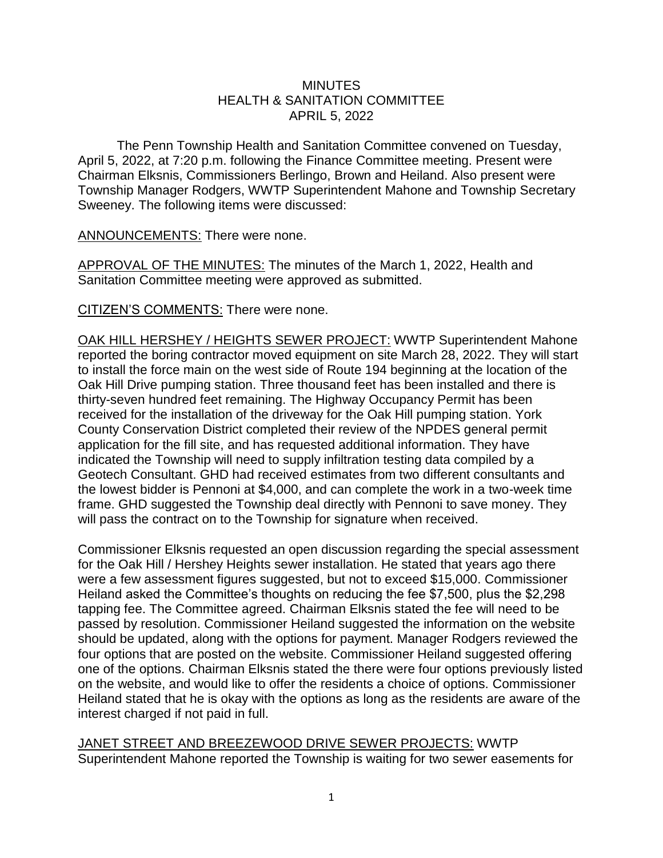## **MINUTES** HEALTH & SANITATION COMMITTEE APRIL 5, 2022

The Penn Township Health and Sanitation Committee convened on Tuesday, April 5, 2022, at 7:20 p.m. following the Finance Committee meeting. Present were Chairman Elksnis, Commissioners Berlingo, Brown and Heiland. Also present were Township Manager Rodgers, WWTP Superintendent Mahone and Township Secretary Sweeney. The following items were discussed:

ANNOUNCEMENTS: There were none.

APPROVAL OF THE MINUTES: The minutes of the March 1, 2022, Health and Sanitation Committee meeting were approved as submitted.

CITIZEN'S COMMENTS: There were none.

OAK HILL HERSHEY / HEIGHTS SEWER PROJECT: WWTP Superintendent Mahone reported the boring contractor moved equipment on site March 28, 2022. They will start to install the force main on the west side of Route 194 beginning at the location of the Oak Hill Drive pumping station. Three thousand feet has been installed and there is thirty-seven hundred feet remaining. The Highway Occupancy Permit has been received for the installation of the driveway for the Oak Hill pumping station. York County Conservation District completed their review of the NPDES general permit application for the fill site, and has requested additional information. They have indicated the Township will need to supply infiltration testing data compiled by a Geotech Consultant. GHD had received estimates from two different consultants and the lowest bidder is Pennoni at \$4,000, and can complete the work in a two-week time frame. GHD suggested the Township deal directly with Pennoni to save money. They will pass the contract on to the Township for signature when received.

Commissioner Elksnis requested an open discussion regarding the special assessment for the Oak Hill / Hershey Heights sewer installation. He stated that years ago there were a few assessment figures suggested, but not to exceed \$15,000. Commissioner Heiland asked the Committee's thoughts on reducing the fee \$7,500, plus the \$2,298 tapping fee. The Committee agreed. Chairman Elksnis stated the fee will need to be passed by resolution. Commissioner Heiland suggested the information on the website should be updated, along with the options for payment. Manager Rodgers reviewed the four options that are posted on the website. Commissioner Heiland suggested offering one of the options. Chairman Elksnis stated the there were four options previously listed on the website, and would like to offer the residents a choice of options. Commissioner Heiland stated that he is okay with the options as long as the residents are aware of the interest charged if not paid in full.

JANET STREET AND BREEZEWOOD DRIVE SEWER PROJECTS: WWTP Superintendent Mahone reported the Township is waiting for two sewer easements for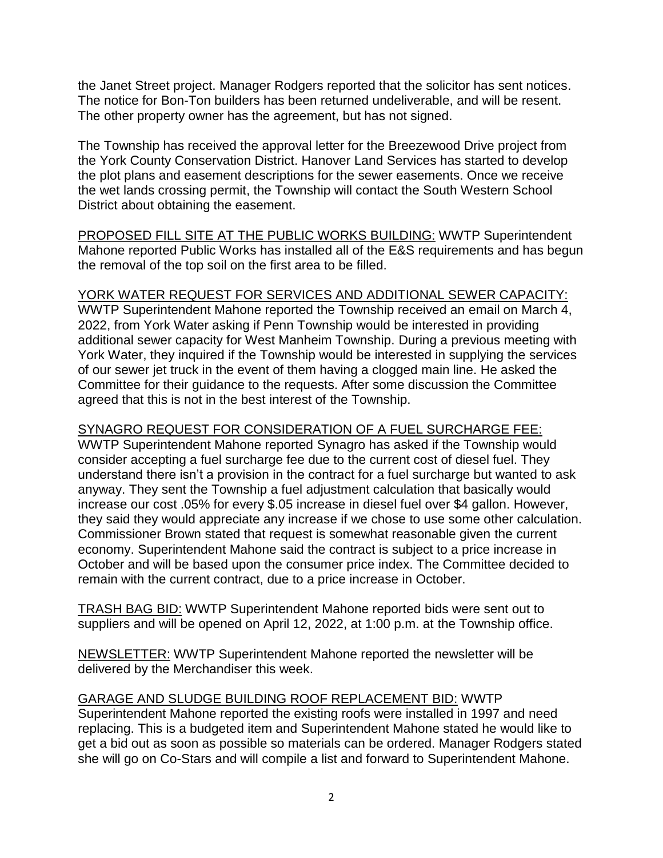the Janet Street project. Manager Rodgers reported that the solicitor has sent notices. The notice for Bon-Ton builders has been returned undeliverable, and will be resent. The other property owner has the agreement, but has not signed.

The Township has received the approval letter for the Breezewood Drive project from the York County Conservation District. Hanover Land Services has started to develop the plot plans and easement descriptions for the sewer easements. Once we receive the wet lands crossing permit, the Township will contact the South Western School District about obtaining the easement.

PROPOSED FILL SITE AT THE PUBLIC WORKS BUILDING: WWTP Superintendent Mahone reported Public Works has installed all of the E&S requirements and has begun the removal of the top soil on the first area to be filled.

## YORK WATER REQUEST FOR SERVICES AND ADDITIONAL SEWER CAPACITY:

WWTP Superintendent Mahone reported the Township received an email on March 4, 2022, from York Water asking if Penn Township would be interested in providing additional sewer capacity for West Manheim Township. During a previous meeting with York Water, they inquired if the Township would be interested in supplying the services of our sewer jet truck in the event of them having a clogged main line. He asked the Committee for their guidance to the requests. After some discussion the Committee agreed that this is not in the best interest of the Township.

## SYNAGRO REQUEST FOR CONSIDERATION OF A FUEL SURCHARGE FEE:

WWTP Superintendent Mahone reported Synagro has asked if the Township would consider accepting a fuel surcharge fee due to the current cost of diesel fuel. They understand there isn't a provision in the contract for a fuel surcharge but wanted to ask anyway. They sent the Township a fuel adjustment calculation that basically would increase our cost .05% for every \$.05 increase in diesel fuel over \$4 gallon. However, they said they would appreciate any increase if we chose to use some other calculation. Commissioner Brown stated that request is somewhat reasonable given the current economy. Superintendent Mahone said the contract is subject to a price increase in October and will be based upon the consumer price index. The Committee decided to remain with the current contract, due to a price increase in October.

TRASH BAG BID: WWTP Superintendent Mahone reported bids were sent out to suppliers and will be opened on April 12, 2022, at 1:00 p.m. at the Township office.

NEWSLETTER: WWTP Superintendent Mahone reported the newsletter will be delivered by the Merchandiser this week.

GARAGE AND SLUDGE BUILDING ROOF REPLACEMENT BID: WWTP Superintendent Mahone reported the existing roofs were installed in 1997 and need replacing. This is a budgeted item and Superintendent Mahone stated he would like to get a bid out as soon as possible so materials can be ordered. Manager Rodgers stated she will go on Co-Stars and will compile a list and forward to Superintendent Mahone.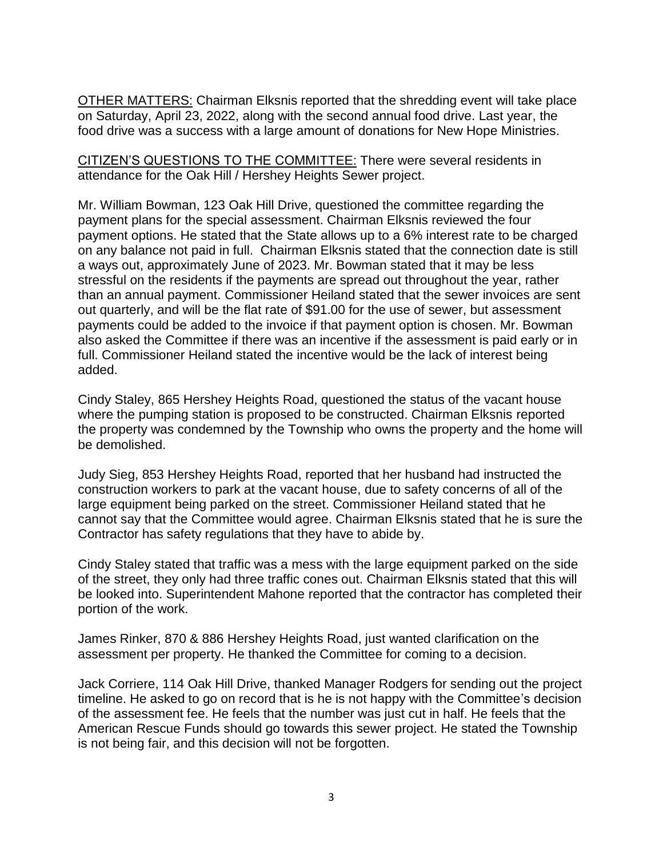OTHER MATTERS: Chairman Elksnis reported that the shredding event will take place on Saturday, April 23, 2022, along with the second annual food drive. Last year, the food drive was a success with a large amount of donations for New Hope Ministries.

CITIZEN'S QUESTIONS TO THE COMMITTEE: There were several residents in attendance for the Oak Hill / Hershey Heights Sewer project.

Mr. William Bowman, 123 Oak Hill Drive, questioned the committee regarding the payment plans for the special assessment. Chairman Elksnis reviewed the four payment options. He stated that the State allows up to a 6% interest rate to be charged on any balance not paid in full. Chairman Elksnis stated that the connection date is still a ways out, approximately June of 2023. Mr. Bowman stated that it may be less stressful on the residents if the payments are spread out throughout the year, rather than an annual payment. Commissioner Heiland stated that the sewer invoices are sent out quarterly, and will be the flat rate of \$91.00 for the use of sewer, but assessment payments could be added to the invoice if that payment option is chosen. Mr. Bowman also asked the Committee if there was an incentive if the assessment is paid early or in full. Commissioner Heiland stated the incentive would be the lack of interest being added.

Cindy Staley, 865 Hershey Heights Road, questioned the status of the vacant house where the pumping station is proposed to be constructed. Chairman Elksnis reported the property was condemned by the Township who owns the property and the home will be demolished.

Judy Sieg, 853 Hershey Heights Road, reported that her husband had instructed the construction workers to park at the vacant house, due to safety concerns of all of the large equipment being parked on the street. Commissioner Heiland stated that he cannot say that the Committee would agree. Chairman Elksnis stated that he is sure the Contractor has safety regulations that they have to abide by.

Cindy Staley stated that traffic was a mess with the large equipment parked on the side of the street, they only had three traffic cones out. Chairman Elksnis stated that this will be looked into. Superintendent Mahone reported that the contractor has completed their portion of the work.

James Rinker, 870 & 886 Hershey Heights Road, just wanted clarification on the assessment per property. He thanked the Committee for coming to a decision.

Jack Corriere, 114 Oak Hill Drive, thanked Manager Rodgers for sending out the project timeline. He asked to go on record that is he is not happy with the Committee's decision of the assessment fee. He feels that the number was just cut in half. He feels that the American Rescue Funds should go towards this sewer project. He stated the Township is not being fair, and this decision will not be forgotten.